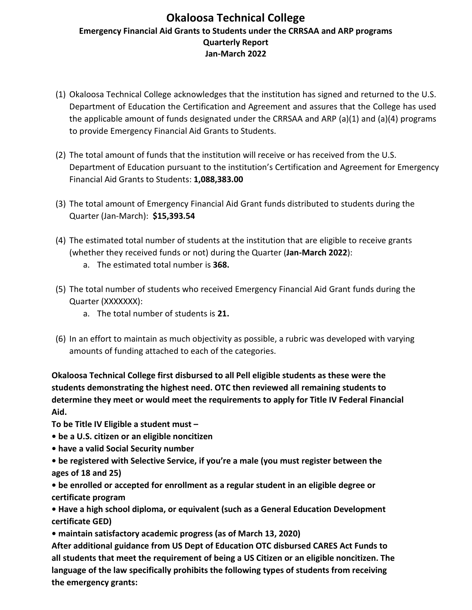## **Okaloosa Technical College Emergency Financial Aid Grants to Students under the CRRSAA and ARP programs Quarterly Report Jan-March 2022**

- (1) Okaloosa Technical College acknowledges that the institution has signed and returned to the U.S. Department of Education the Certification and Agreement and assures that the College has used the applicable amount of funds designated under the CRRSAA and ARP  $(a)(1)$  and  $(a)(4)$  programs to provide Emergency Financial Aid Grants to Students.
- (2) The total amount of funds that the institution will receive or has received from the U.S. Department of Education pursuant to the institution's Certification and Agreement for Emergency Financial Aid Grants to Students: **1,088,383.00**
- (3) The total amount of Emergency Financial Aid Grant funds distributed to students during the Quarter (Jan-March): **\$15,393.54**
- (4) The estimated total number of students at the institution that are eligible to receive grants (whether they received funds or not) during the Quarter (**Jan-March 2022**):
	- a. The estimated total number is **368.**
- (5) The total number of students who received Emergency Financial Aid Grant funds during the Quarter (XXXXXXX):
	- a. The total number of students is **21.**
- (6) In an effort to maintain as much objectivity as possible, a rubric was developed with varying amounts of funding attached to each of the categories.

**Okaloosa Technical College first disbursed to all Pell eligible students as these were the students demonstrating the highest need. OTC then reviewed all remaining students to determine they meet or would meet the requirements to apply for Title IV Federal Financial Aid.** 

**To be Title IV Eligible a student must –**

- **be a U.S. citizen or an eligible noncitizen**
- **have a valid Social Security number**
- **be registered with Selective Service, if you're a male (you must register between the ages of 18 and 25)**

**• be enrolled or accepted for enrollment as a regular student in an eligible degree or certificate program**

**• Have a high school diploma, or equivalent (such as a General Education Development certificate GED)**

**• maintain satisfactory academic progress (as of March 13, 2020)**

**After additional guidance from US Dept of Education OTC disbursed CARES Act Funds to all students that meet the requirement of being a US Citizen or an eligible noncitizen. The language of the law specifically prohibits the following types of students from receiving the emergency grants:**